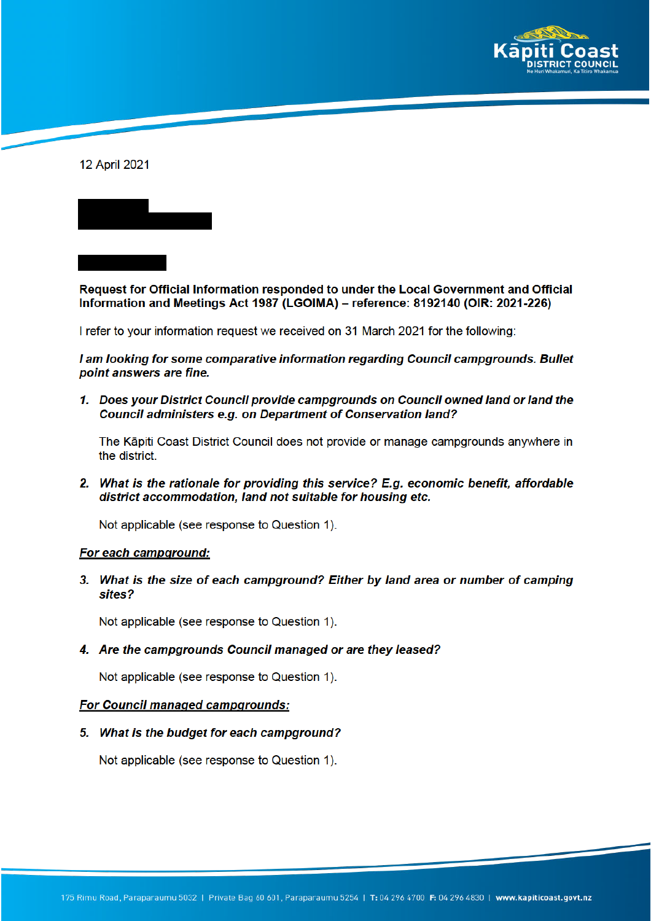

12 April 2021

Request for Official Information responded to under the Local Government and Official Information and Meetings Act 1987 (LGOIMA) - reference: 8192140 (OIR: 2021-226)

I refer to your information request we received on 31 March 2021 for the following:

I am looking for some comparative information regarding Council campgrounds. Bullet point answers are fine.

1. Does your District Council provide campgrounds on Council owned land or land the Council administers e.g. on Department of Conservation land?

The Kāpiti Coast District Council does not provide or manage campgrounds anywhere in the district.

2. What is the rationale for providing this service? E.g. economic benefit, affordable district accommodation, land not suitable for housing etc.

Not applicable (see response to Question 1).

#### For each campground:

3. What is the size of each campground? Either by land area or number of camping sites?

Not applicable (see response to Question 1).

4. Are the campgrounds Council managed or are they leased?

Not applicable (see response to Question 1).

#### For Council managed campgrounds:

5. What is the budget for each campground?

Not applicable (see response to Question 1).